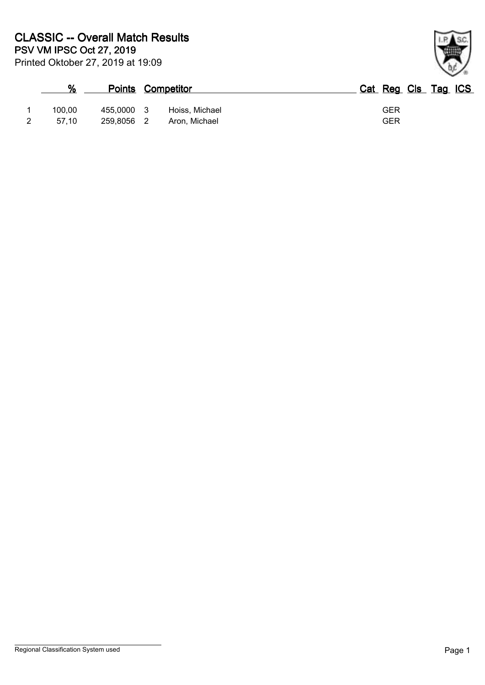| %      | <b>Points Competitor</b> |     |                | Cat Reg Cls Tag ICS |
|--------|--------------------------|-----|----------------|---------------------|
| 100.00 | 455.0000                 | - 3 | Hoiss, Michael | GER                 |
| 57.10  | 259.8056                 | - 2 | Aron, Michael  | <b>GER</b>          |

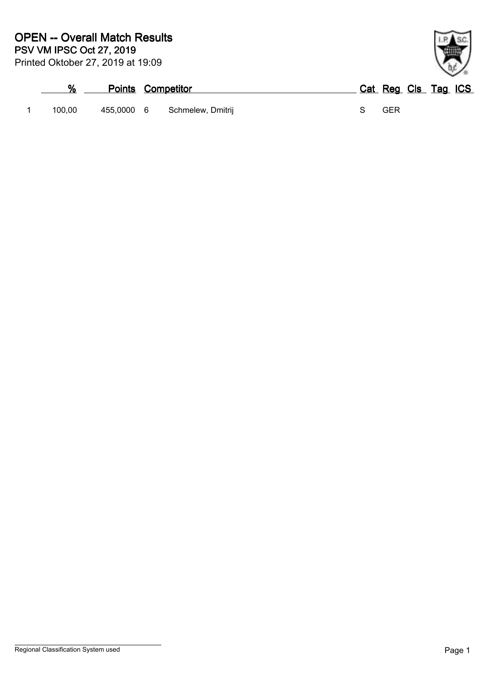| %      | <b>Points Competitor</b> |                              | Cat Reg Cls Tag ICS |  |
|--------|--------------------------|------------------------------|---------------------|--|
| 100.00 |                          | 455,0000 6 Schmelew, Dmitrij | GER                 |  |

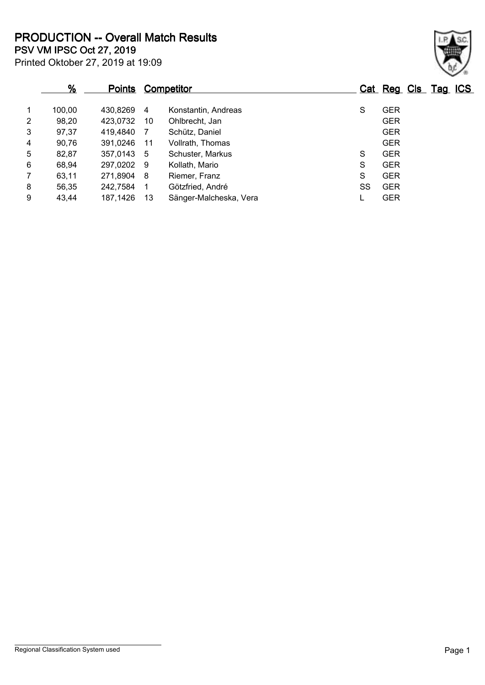Printed Oktober 27, 2019 at 19:09 **PSV VM IPSC Oct 27, 2019 PRODUCTION -- Overall Match Results**

|                | $\frac{9}{6}$ | <b>Points</b> |     | Competitor             |    | Cat Reg Cls Tag ICS |  |
|----------------|---------------|---------------|-----|------------------------|----|---------------------|--|
| 1              | 100.00        | 430,8269      | -4  | Konstantin, Andreas    | S  | <b>GER</b>          |  |
| $\overline{2}$ | 98,20         | 423,0732      | -10 | Ohlbrecht, Jan         |    | <b>GER</b>          |  |
| 3              | 97,37         | 419,4840      | 7   | Schütz, Daniel         |    | <b>GER</b>          |  |
| 4              | 90,76         | 391,0246      | 11  | Vollrath, Thomas       |    | <b>GER</b>          |  |
| 5              | 82,87         | 357,0143      | - 5 | Schuster, Markus       | S  | <b>GER</b>          |  |
| 6              | 68,94         | 297,0202 9    |     | Kollath, Mario         | S  | <b>GER</b>          |  |
| $\overline{7}$ | 63,11         | 271,8904      | - 8 | Riemer, Franz          | S  | <b>GER</b>          |  |
| 8              | 56,35         | 242,7584      | -1  | Götzfried, André       | SS | <b>GER</b>          |  |
| 9              | 43,44         | 187,1426      | -13 | Sänger-Malcheska, Vera |    | <b>GER</b>          |  |

Regional Classification System used **Page 1**